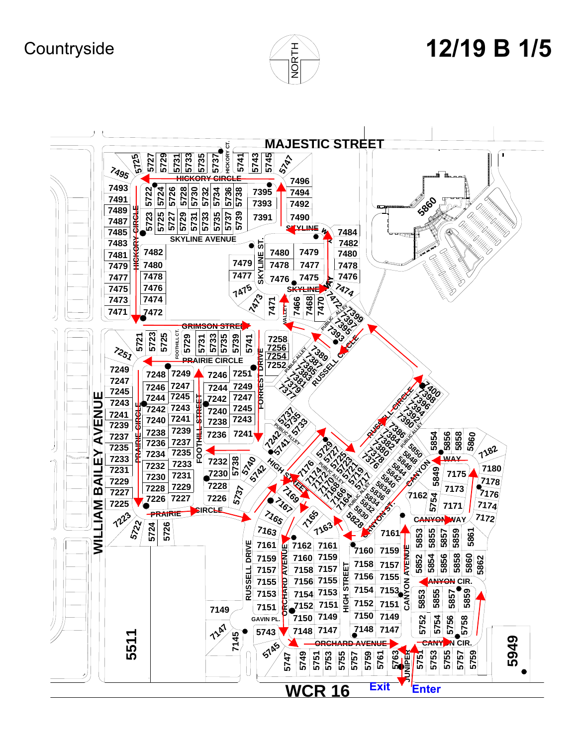**Countryside** 



## **/19 B 1/5**

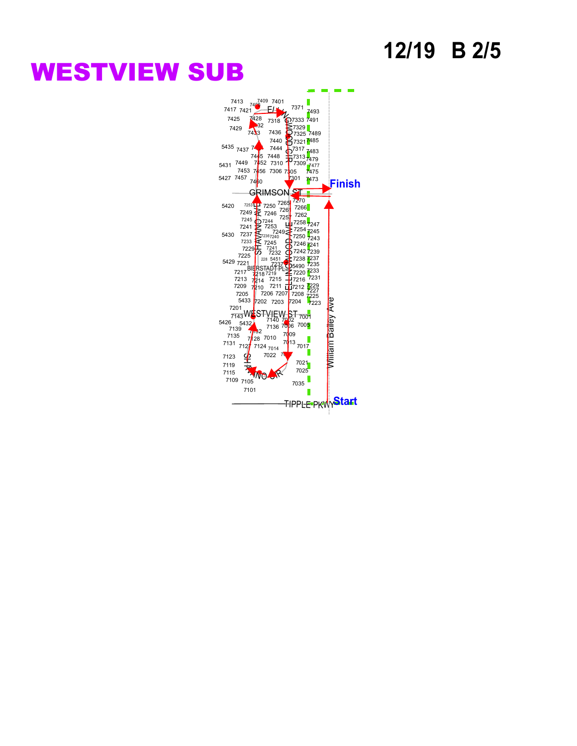### **12/19 B 2/5**

## **WESTVIEW SUB**

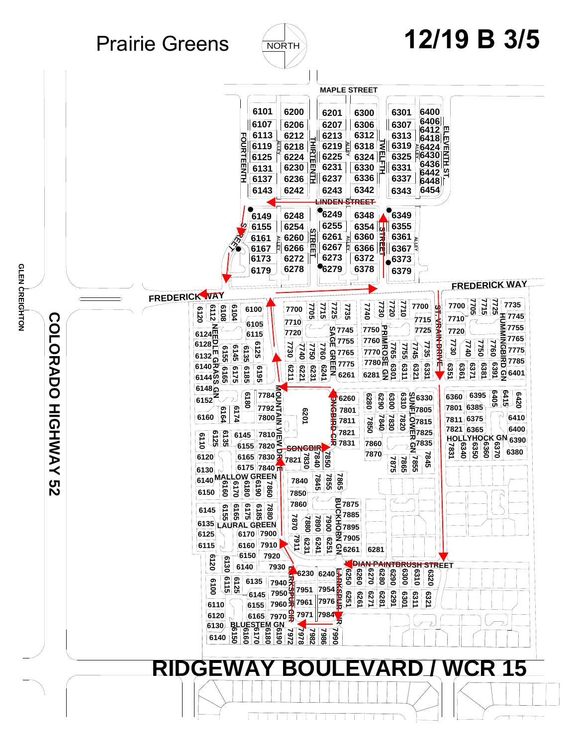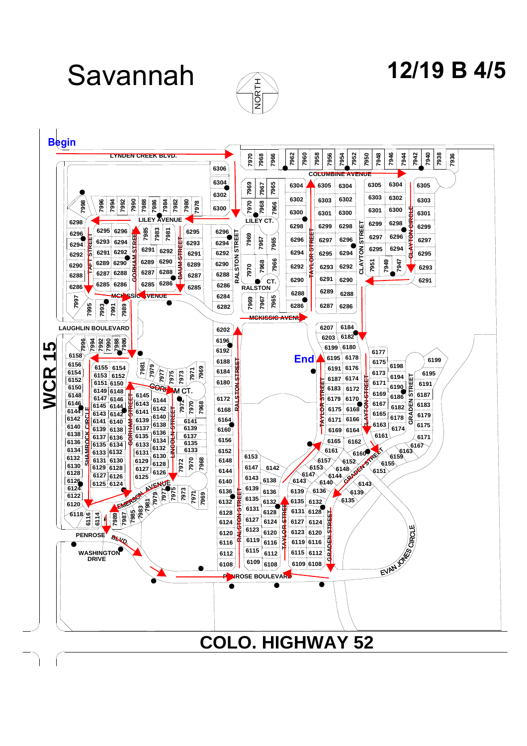Savannah



# **12/19 B 4/5**